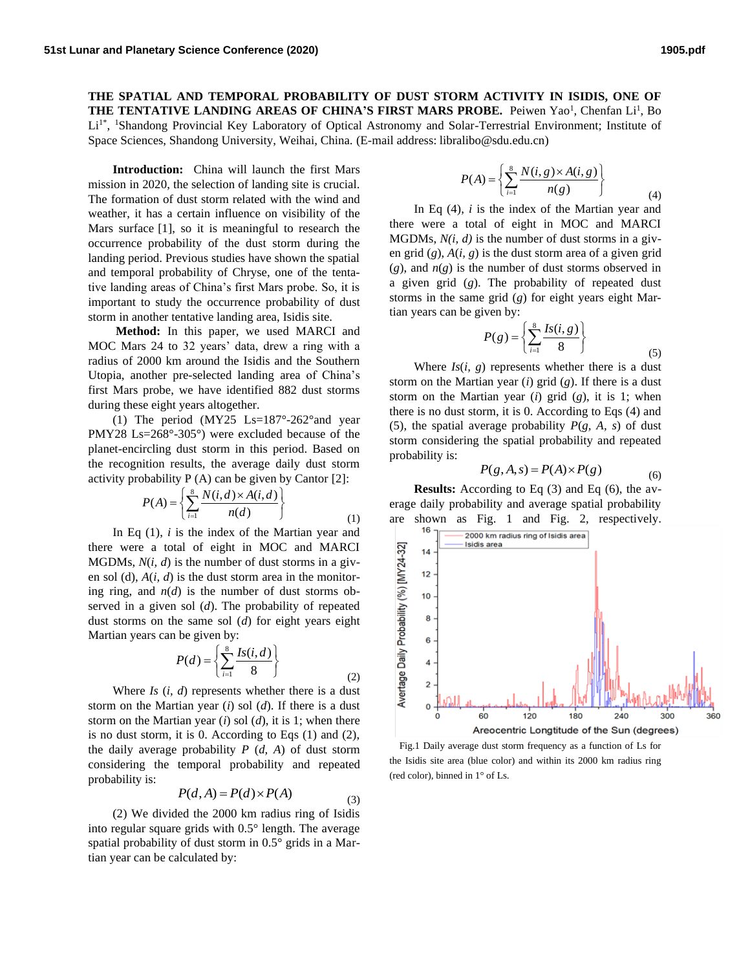**THE SPATIAL AND TEMPORAL PROBABILITY OF DUST STORM ACTIVITY IN ISIDIS, ONE OF THE TENTATIVE LANDING AREAS OF CHINA'S FIRST MARS PROBE.** Peiwen Yao<sup>1</sup> , Chenfan Li 1 , Bo Li<sup>1\*</sup>, <sup>1</sup>Shandong Provincial Key Laboratory of Optical Astronomy and Solar-Terrestrial Environment; Institute of Space Sciences, Shandong University, Weihai, China. (E-mail address: libralibo@sdu.edu.cn)

**Introduction:** China will launch the first Mars mission in 2020, the selection of landing site is crucial. The formation of dust storm related with the wind and weather, it has a certain influence on visibility of the Mars surface [1], so it is meaningful to research the occurrence probability of the dust storm during the landing period. Previous studies have shown the spatial and temporal probability of Chryse, one of the tentative landing areas of China's first Mars probe. So, it is important to study the occurrence probability of dust storm in another tentative landing area, Isidis site.

**Method:** In this paper, we used MARCI and MOC Mars 24 to 32 years' data, drew a ring with a radius of 2000 km around the Isidis and the Southern Utopia, another pre-selected landing area of China's first Mars probe, we have identified 882 dust storms during these eight years altogether.

(1) The period (MY25 Ls=187°-262°and year PMY28 Ls=268°-305°) were excluded because of the planet-encircling dust storm in this period. Based on the recognition results, the average daily dust storm

activity probability P (A) can be given by Cantor [2]:  
\n
$$
P(A) = \left\{ \sum_{i=1}^{8} \frac{N(i, d) \times A(i, d)}{n(d)} \right\}
$$
\n(1)

In Eq (1), *i* is the index of the Martian year and there were a total of eight in MOC and MARCI MGDMs, *N*(*i, d*) is the number of dust storms in a given sol (d), *A*(*i, d*) is the dust storm area in the monitoring ring, and  $n(d)$  is the number of dust storms observed in a given sol (*d*). The probability of repeated dust storms on the same sol (*d*) for eight years eight Martian years can be given by:

$$
P(d) = \left\{ \sum_{i=1}^{8} \frac{Is(i,d)}{8} \right\}
$$
 (2)

Where *Is* (*i, d*) represents whether there is a dust storm on the Martian year (*i*) sol (*d*). If there is a dust storm on the Martian year (*i*) sol (*d*), it is 1; when there is no dust storm, it is 0. According to Eqs (1) and (2), the daily average probability  $P$   $(d, A)$  of dust storm considering the temporal probability and repeated probability is:

$$
P(d, A) = P(d) \times P(A)
$$
 (3)

(2) We divided the 2000 km radius ring of Isidis into regular square grids with 0.5° length. The average spatial probability of dust storm in 0.5° grids in a Martian year can be calculated by:

$$
P(A) = \left\{ \sum_{i=1}^{8} \frac{N(i, g) \times A(i, g)}{n(g)} \right\}
$$
 (4)

In Eq (4), *i* is the index of the Martian year and there were a total of eight in MOC and MARCI MGDMs, *N(i, d)* is the number of dust storms in a given grid (*g*), *A*(*i, g*) is the dust storm area of a given grid  $(g)$ , and  $n(g)$  is the number of dust storms observed in a given grid (*g*). The probability of repeated dust storms in the same grid (*g*) for eight years eight Martian years can be given by:

$$
P(g) = \left\{ \sum_{i=1}^{8} \frac{Is(i, g)}{8} \right\}
$$
\n
$$
(5)
$$

Where  $Is(i, g)$  represents whether there is a dust storm on the Martian year (*i*) grid (*g*). If there is a dust storm on the Martian year (*i*) grid (*g*), it is 1; when there is no dust storm, it is 0. According to Eqs (4) and (5), the spatial average probability  $P(g, A, s)$  of dust storm considering the spatial probability and repeated probability is:

$$
P(g, A, s) = P(A) \times P(g)
$$
 (6)

**Results:** According to Eq (3) and Eq (6), the average daily probability and average spatial probability are shown as Fig. 1 and Fig. 2, respectively.



 Fig.1 Daily average dust storm frequency as a function of Ls for the Isidis site area (blue color) and within its 2000 km radius ring (red color), binned in 1° of Ls.